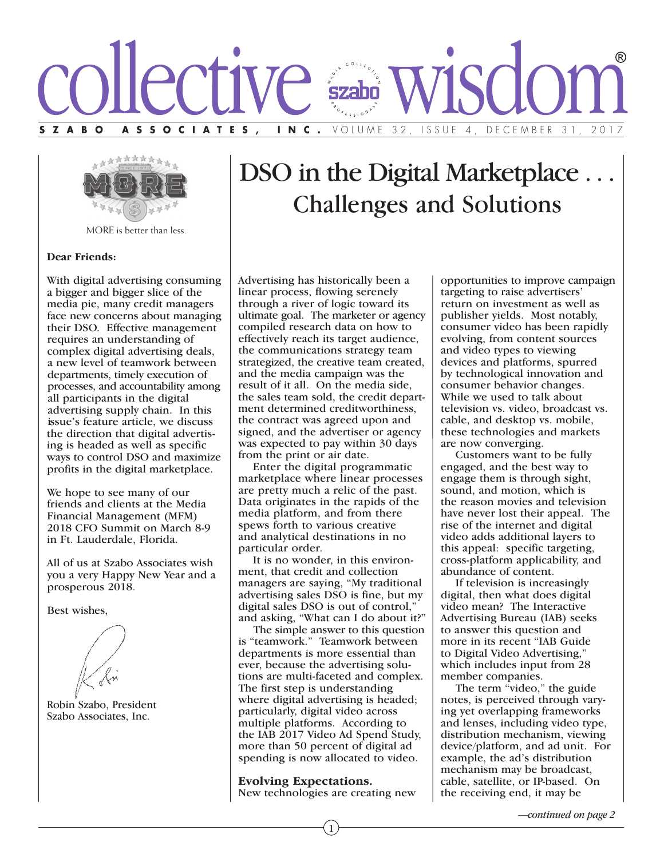



MORE is better than less.

#### **Dear Friends:**

With digital advertising consuming a bigger and bigger slice of the media pie, many credit managers face new concerns about managing their DSO. Effective management requires an understanding of complex digital advertising deals, a new level of teamwork between departments, timely execution of processes, and accountability among all participants in the digital advertising supply chain. In this issue's feature article, we discuss the direction that digital advertising is headed as well as specific ways to control DSO and maximize profits in the digital marketplace.

We hope to see many of our friends and clients at the Media Financial Management (MFM) 2018 CFO Summit on March 8-9 in Ft. Lauderdale, Florida.

All of us at Szabo Associates wish you a very Happy New Year and a prosperous 2018.

Best wishes,

Robin Szabo, President Szabo Associates, Inc.

# DSO in the Digital Marketplace ... Challenges and Solutions

Advertising has historically been a linear process, flowing serenely through a river of logic toward its ultimate goal. The marketer or agency compiled research data on how to effectively reach its target audience, the communications strategy team strategized, the creative team created, and the media campaign was the result of it all. On the media side, the sales team sold, the credit department determined creditworthiness, the contract was agreed upon and signed, and the advertiser or agency was expected to pay within 30 days from the print or air date.

 Enter the digital programmatic marketplace where linear processes are pretty much a relic of the past. Data originates in the rapids of the media platform, and from there spews forth to various creative and analytical destinations in no particular order.

 It is no wonder, in this environment, that credit and collection managers are saying, "My traditional advertising sales DSO is fine, but my digital sales DSO is out of control," and asking, "What can I do about it?"

 The simple answer to this question is "teamwork." Teamwork between departments is more essential than ever, because the advertising solutions are multi-faceted and complex. The first step is understanding where digital advertising is headed; particularly, digital video across multiple platforms. According to the IAB 2017 Video Ad Spend Study, more than 50 percent of digital ad spending is now allocated to video.

**Evolving Expectations.** New technologies are creating new

1

opportunities to improve campaign targeting to raise advertisers' return on investment as well as publisher yields. Most notably, consumer video has been rapidly evolving, from content sources and video types to viewing devices and platforms, spurred by technological innovation and consumer behavior changes. While we used to talk about television vs. video, broadcast vs. cable, and desktop vs. mobile, these technologies and markets are now converging.

 Customers want to be fully engaged, and the best way to engage them is through sight, sound, and motion, which is the reason movies and television have never lost their appeal. The rise of the internet and digital video adds additional layers to this appeal: specific targeting, cross-platform applicability, and abundance of content.

 If television is increasingly digital, then what does digital video mean? The Interactive Advertising Bureau (IAB) seeks to answer this question and more in its recent "IAB Guide to Digital Video Advertising," which includes input from 28 member companies.

 The term "video," the guide notes, is perceived through varying yet overlapping frameworks and lenses, including video type, distribution mechanism, viewing device/platform, and ad unit. For example, the ad's distribution mechanism may be broadcast, cable, satellite, or IP-based. On the receiving end, it may be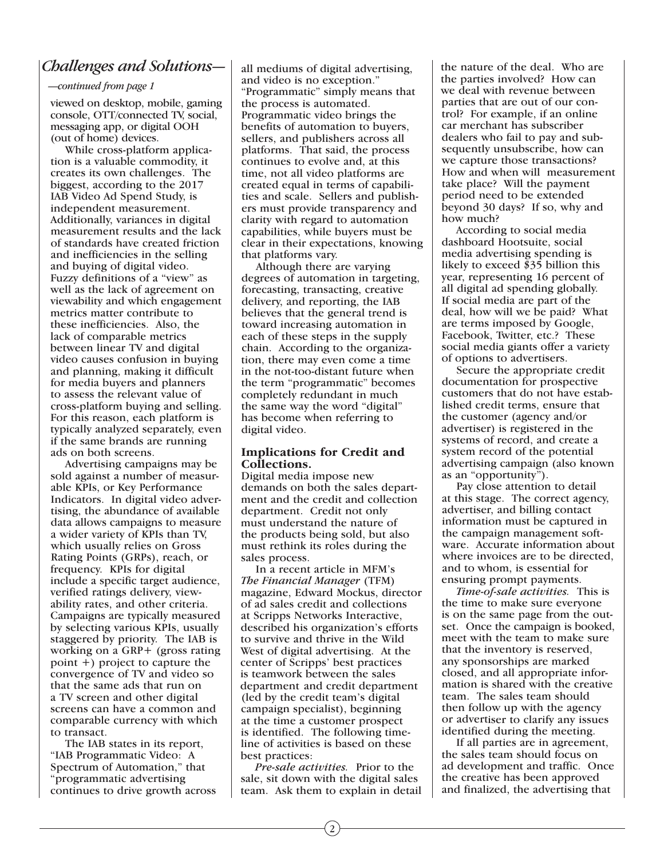### *Challenges and Solutions—*

#### *—continued from page 1*

viewed on desktop, mobile, gaming console, OTT/connected TV, social, messaging app, or digital OOH (out of home) devices.

 While cross-platform application is a valuable commodity, it creates its own challenges. The biggest, according to the 2017 IAB Video Ad Spend Study, is independent measurement. Additionally, variances in digital measurement results and the lack of standards have created friction and inefficiencies in the selling and buying of digital video. Fuzzy definitions of a "view" as well as the lack of agreement on viewability and which engagement metrics matter contribute to these inefficiencies. Also, the lack of comparable metrics between linear TV and digital video causes confusion in buying and planning, making it difficult for media buyers and planners to assess the relevant value of cross-platform buying and selling. For this reason, each platform is typically analyzed separately, even if the same brands are running ads on both screens.

 Advertising campaigns may be sold against a number of measurable KPIs, or Key Performance Indicators. In digital video advertising, the abundance of available data allows campaigns to measure a wider variety of KPIs than TV, which usually relies on Gross Rating Points (GRPs), reach, or frequency. KPIs for digital include a specific target audience, verified ratings delivery, viewability rates, and other criteria. Campaigns are typically measured by selecting various KPIs, usually staggered by priority. The IAB is working on a GRP+ (gross rating point +) project to capture the convergence of TV and video so that the same ads that run on a TV screen and other digital screens can have a common and comparable currency with which to transact.

 The IAB states in its report, "IAB Programmatic Video: A Spectrum of Automation," that "programmatic advertising continues to drive growth across all mediums of digital advertising, and video is no exception." "Programmatic" simply means that the process is automated. Programmatic video brings the benefits of automation to buyers, sellers, and publishers across all platforms. That said, the process continues to evolve and, at this time, not all video platforms are created equal in terms of capabilities and scale. Sellers and publishers must provide transparency and clarity with regard to automation capabilities, while buyers must be clear in their expectations, knowing that platforms vary.

 Although there are varying degrees of automation in targeting, forecasting, transacting, creative delivery, and reporting, the IAB believes that the general trend is toward increasing automation in each of these steps in the supply chain. According to the organization, there may even come a time in the not-too-distant future when the term "programmatic" becomes completely redundant in much the same way the word "digital" has become when referring to digital video.

#### **Implications for Credit and Collections.**

Digital media impose new demands on both the sales department and the credit and collection department. Credit not only must understand the nature of the products being sold, but also must rethink its roles during the sales process.

 In a recent article in MFM's *The Financial Manager* (TFM) magazine, Edward Mockus, director of ad sales credit and collections at Scripps Networks Interactive, described his organization's efforts to survive and thrive in the Wild West of digital advertising. At the center of Scripps' best practices is teamwork between the sales department and credit department (led by the credit team's digital campaign specialist), beginning at the time a customer prospect is identified. The following timeline of activities is based on these best practices:

 *Pre-sale activities.* Prior to the sale, sit down with the digital sales team. Ask them to explain in detail the nature of the deal. Who are the parties involved? How can we deal with revenue between parties that are out of our control? For example, if an online car merchant has subscriber dealers who fail to pay and subsequently unsubscribe, how can we capture those transactions? How and when will measurement take place? Will the payment period need to be extended beyond 30 days? If so, why and how much?

 According to social media dashboard Hootsuite, social media advertising spending is likely to exceed \$35 billion this year, representing 16 percent of all digital ad spending globally. If social media are part of the deal, how will we be paid? What are terms imposed by Google, Facebook, Twitter, etc.? These social media giants offer a variety of options to advertisers.

 Secure the appropriate credit documentation for prospective customers that do not have established credit terms, ensure that the customer (agency and/or advertiser) is registered in the systems of record, and create a system record of the potential advertising campaign (also known as an "opportunity").

 Pay close attention to detail at this stage. The correct agency, advertiser, and billing contact information must be captured in the campaign management software. Accurate information about where invoices are to be directed, and to whom, is essential for ensuring prompt payments.

 *Time-of-sale activities.* This is the time to make sure everyone is on the same page from the outset. Once the campaign is booked, meet with the team to make sure that the inventory is reserved, any sponsorships are marked closed, and all appropriate information is shared with the creative team. The sales team should then follow up with the agency or advertiser to clarify any issues identified during the meeting.

 If all parties are in agreement, the sales team should focus on ad development and traffic. Once the creative has been approved and finalized, the advertising that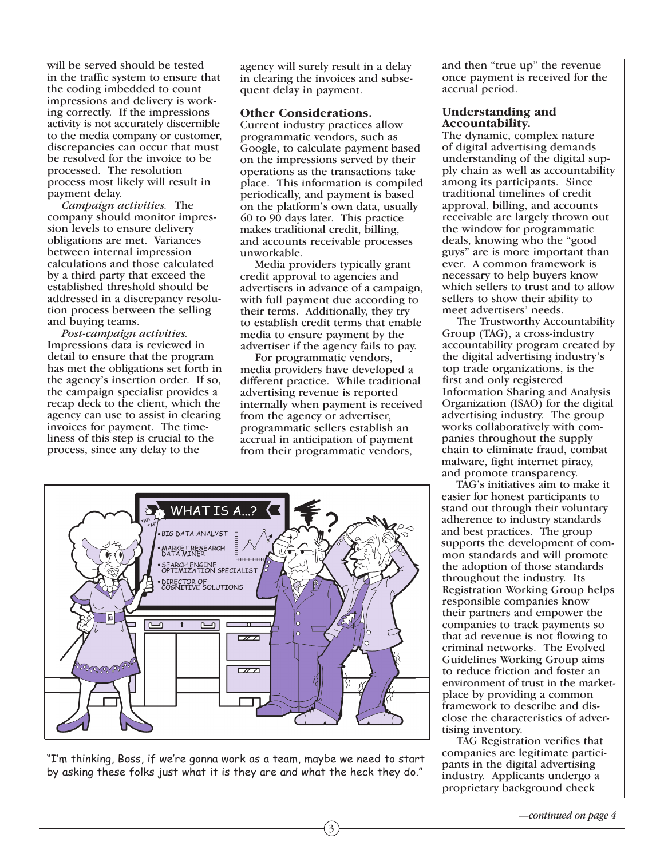will be served should be tested in the traffic system to ensure that the coding imbedded to count impressions and delivery is working correctly. If the impressions activity is not accurately discernible to the media company or customer, discrepancies can occur that must be resolved for the invoice to be processed. The resolution process most likely will result in payment delay.

 *Campaign activities.* The company should monitor impression levels to ensure delivery obligations are met. Variances between internal impression calculations and those calculated by a third party that exceed the established threshold should be addressed in a discrepancy resolution process between the selling and buying teams.

 *Post-campaign activities.* Impressions data is reviewed in detail to ensure that the program has met the obligations set forth in the agency's insertion order. If so, the campaign specialist provides a recap deck to the client, which the agency can use to assist in clearing invoices for payment. The timeliness of this step is crucial to the process, since any delay to the

agency will surely result in a delay in clearing the invoices and subsequent delay in payment.

#### **Other Considerations.**

Current industry practices allow programmatic vendors, such as Google, to calculate payment based on the impressions served by their operations as the transactions take place. This information is compiled periodically, and payment is based on the platform's own data, usually 60 to 90 days later. This practice makes traditional credit, billing, and accounts receivable processes unworkable.

 Media providers typically grant credit approval to agencies and advertisers in advance of a campaign, with full payment due according to their terms. Additionally, they try to establish credit terms that enable media to ensure payment by the advertiser if the agency fails to pay.

 For programmatic vendors, media providers have developed a different practice. While traditional advertising revenue is reported internally when payment is received from the agency or advertiser, programmatic sellers establish an accrual in anticipation of payment from their programmatic vendors,

3



"I'm thinking, Boss, if we're gonna work as a team, maybe we need to start by asking these folks just what it is they are and what the heck they do."

and then "true up" the revenue once payment is received for the accrual period.

#### **Understanding and Accountability.**

The dynamic, complex nature of digital advertising demands understanding of the digital supply chain as well as accountability among its participants. Since traditional timelines of credit approval, billing, and accounts receivable are largely thrown out the window for programmatic deals, knowing who the "good guys" are is more important than ever. A common framework is necessary to help buyers know which sellers to trust and to allow sellers to show their ability to meet advertisers' needs.

 The Trustworthy Accountability Group (TAG), a cross-industry accountability program created by the digital advertising industry's top trade organizations, is the first and only registered Information Sharing and Analysis Organization (ISAO) for the digital advertising industry. The group works collaboratively with companies throughout the supply chain to eliminate fraud, combat malware, fight internet piracy, and promote transparency.

 TAG's initiatives aim to make it easier for honest participants to stand out through their voluntary adherence to industry standards and best practices. The group supports the development of common standards and will promote the adoption of those standards throughout the industry. Its Registration Working Group helps responsible companies know their partners and empower the companies to track payments so that ad revenue is not flowing to criminal networks. The Evolved Guidelines Working Group aims to reduce friction and foster an environment of trust in the marketplace by providing a common framework to describe and disclose the characteristics of advertising inventory.

 TAG Registration verifies that companies are legitimate participants in the digital advertising industry. Applicants undergo a proprietary background check